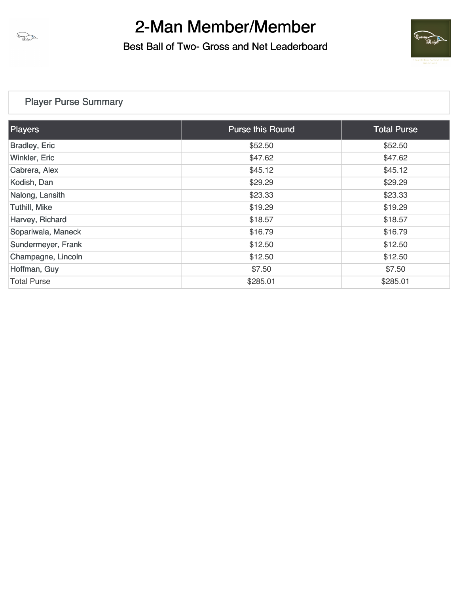

Best Ball of Two- Gross and Net Leaderboard



### [Player Purse Summary](https://static.golfgenius.com/v2tournaments/total_purse?league_id=8450190859957189399&round_id=8450190959009872606)

| <b>Players</b>       | <b>Purse this Round</b> | <b>Total Purse</b> |
|----------------------|-------------------------|--------------------|
| <b>Bradley, Eric</b> | \$52.50                 | \$52.50            |
| Winkler, Eric        | \$47.62                 | \$47.62            |
| Cabrera, Alex        | \$45.12                 | \$45.12            |
| Kodish, Dan          | \$29.29                 | \$29.29            |
| Nalong, Lansith      | \$23.33                 | \$23.33            |
| <b>Tuthill, Mike</b> | \$19.29                 | \$19.29            |
| Harvey, Richard      | \$18.57                 | \$18.57            |
| Sopariwala, Maneck   | \$16.79                 | \$16.79            |
| Sundermeyer, Frank   | \$12.50                 | \$12.50            |
| Champagne, Lincoln   | \$12.50                 | \$12.50            |
| Hoffman, Guy         | \$7.50                  | \$7.50             |
| <b>Total Purse</b>   | \$285.01                | \$285.01           |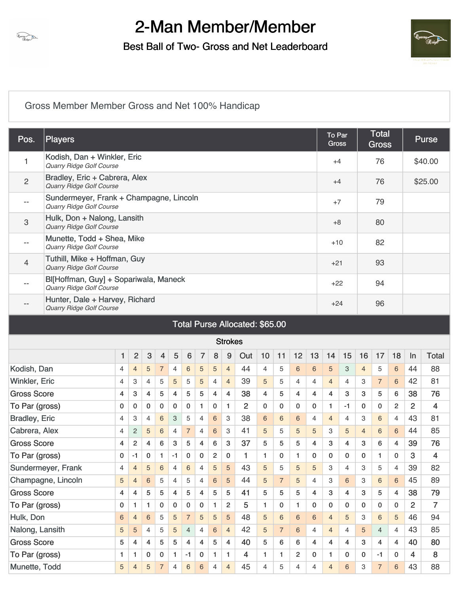

Best Ball of Two- Gross and Net Leaderboard



### [Gross Member Member Gross and Net 100% Handicap](https://static.golfgenius.com/v2tournaments/8450191076215503372?called_from=&round_index=1)

| Pos.                 | Players                                                                                                                           |                                |                |                 |                         |                |                 |                |                |                |                |                |                |                |    | To Par<br><b>Gross</b> |      |                | <b>Total</b><br><b>Gross</b> |                |                | Purse        |
|----------------------|-----------------------------------------------------------------------------------------------------------------------------------|--------------------------------|----------------|-----------------|-------------------------|----------------|-----------------|----------------|----------------|----------------|----------------|----------------|----------------|----------------|----|------------------------|------|----------------|------------------------------|----------------|----------------|--------------|
| 1                    | Kodish, Dan + Winkler, Eric<br>Quarry Ridge Golf Course                                                                           |                                |                |                 |                         |                |                 |                |                |                |                |                |                |                |    | $+4$                   |      |                | 76                           |                |                | \$40.00      |
| $\overline{c}$       | Bradley, Eric + Cabrera, Alex<br><b>Quarry Ridge Golf Course</b>                                                                  |                                |                |                 |                         |                |                 |                |                |                |                |                |                |                |    | $+4$                   |      |                | 76                           |                |                | \$25.00      |
| $- -$                | Sundermeyer, Frank + Champagne, Lincoln<br><b>Quarry Ridge Golf Course</b>                                                        |                                |                |                 |                         |                |                 |                |                |                |                |                |                |                |    | $+7$                   |      |                | 79                           |                |                |              |
| 3                    | Hulk, Don + Nalong, Lansith<br><b>Quarry Ridge Golf Course</b>                                                                    |                                |                |                 |                         |                |                 |                |                |                |                |                |                |                |    | $+8$                   |      |                | 80                           |                |                |              |
| $- -$                | Munette, Todd + Shea, Mike<br>Quarry Ridge Golf Course                                                                            |                                |                |                 |                         |                |                 |                |                |                |                |                |                |                |    | $+10$                  |      |                | 82                           |                |                |              |
| 4                    | Tuthill, Mike + Hoffman, Guy<br>Quarry Ridge Golf Course                                                                          |                                |                |                 |                         |                |                 |                |                |                |                |                |                |                |    | $+21$                  |      |                | 93                           |                |                |              |
| $- -$                | Bl[Hoffman, Guy] + Sopariwala, Maneck<br>94<br>$+22$<br>Quarry Ridge Golf Course<br>Hunter, Dale + Harvey, Richard<br>96<br>$+24$ |                                |                |                 |                         |                |                 |                |                |                |                |                |                |                |    |                        |      |                |                              |                |                |              |
| $- -$                | <b>Quarry Ridge Golf Course</b>                                                                                                   | Total Purse Allocated: \$65.00 |                |                 |                         |                |                 |                |                |                |                |                |                |                |    |                        |      |                |                              |                |                |              |
|                      |                                                                                                                                   |                                |                |                 |                         |                |                 |                |                |                |                |                |                |                |    |                        |      |                |                              |                |                |              |
|                      |                                                                                                                                   |                                |                |                 |                         |                |                 |                |                | <b>Strokes</b> |                |                |                |                |    |                        |      |                |                              |                |                |              |
|                      |                                                                                                                                   | 1                              | $\overline{2}$ | $\mathbf{3}$    | $\overline{\mathbf{4}}$ | 5              | $6\phantom{1}6$ | $\overline{7}$ | 8              | 9              | Out            | 10             | 11             | 12             | 13 | 14                     | 15   | 16             | 17                           | 18             | $\ln$          | <b>Total</b> |
| Kodish, Dan          |                                                                                                                                   | 4                              | $\overline{4}$ | 5               | $\overline{7}$          | 4              | 6               | 5              | 5              | $\overline{4}$ | 44             | $\overline{4}$ | 5              | 6              | 6  | 5                      | 3    | $\overline{4}$ | 5                            | 6              | 44             | 88           |
| Winkler, Eric        |                                                                                                                                   | 4                              | 3              | 4               | 5                       | 5              | 5               | 5              | $\overline{4}$ | $\overline{4}$ | 39             | 5              | 5              | 4              | 4  | $\overline{4}$         | 4    | 3              | $\overline{7}$               | 6              | 42             | 81           |
| <b>Gross Score</b>   |                                                                                                                                   | 4                              | 3              | 4               | 5                       | $\overline{4}$ | 5               | 5              | 4              | $\overline{4}$ | 38             | 4              | 5              | 4              | 4  | $\overline{4}$         | 3    | 3              | 5                            | 6              | 38             | 76           |
| To Par (gross)       |                                                                                                                                   | 0                              | 0              | 0               | 0                       | 0              | 0               | 1              | 0              | $\mathbf{1}$   | $\overline{2}$ | 0              | 0              | 0              | 0  | 1                      | $-1$ | 0              | 0                            | 2              | $\overline{2}$ | 4            |
| <b>Bradley, Eric</b> |                                                                                                                                   | 4                              | 3              | 4               | 6                       | 3              | 5               | 4              | 6              | 3              | 38             | 6              | 6              | 6              | 4  | $\overline{4}$         | 4    | 3              | 6                            | $\overline{4}$ | 43             | 81           |
| Cabrera, Alex        |                                                                                                                                   | 4                              | 2              | 5               | 6                       | $\overline{4}$ | $\overline{7}$  | 4              | 6              | 3              | 41             | 5              | 5              | 5              | 5  | 3                      | 5    | $\overline{4}$ | 6                            | 6              | 44             | 85           |
| <b>Gross Score</b>   |                                                                                                                                   | 4                              | $\overline{c}$ | 4               | 6                       | 3              | 5               | 4              | 6              | 3              | 37             | 5              | 5              | 5              | 4  | 3                      | 4    | 3              | 6                            | 4              | 39             | 76           |
| To Par (gross)       |                                                                                                                                   | 0                              | $-1$           | 0               | $\mathbf{1}$            | $-1$           | 0               | 0              | $\overline{c}$ | 0              | 1              | 1              | 0              | 1              | 0  | $\mathbf 0$            | 0    | $\mathbf 0$    | 1.                           | 0              | 3              | 4            |
|                      | Sundermeyer, Frank                                                                                                                | 4                              | 4              | 5               | 6                       | 4              | $\,6\,$         | 4              | $\sqrt{5}$     | $\overline{5}$ | 43             | 5              | 5              | 5              | 5  | 3                      | 4    | 3              | 5                            | $\overline{4}$ | 39             | 82           |
|                      | Champagne, Lincoln                                                                                                                | 5                              | $\overline{4}$ | 6               | 5                       | 4              | 5               | $\overline{4}$ | $6\phantom{a}$ | 5              | 44             | 5              | $\overline{7}$ | 5              | 4  | 3                      | 6    | 3              | 6                            | 6              | 45             | 89           |
| <b>Gross Score</b>   |                                                                                                                                   | 4                              | 4              | 5               | 5                       | 4              | 5               | 4              | 5              | 5              | 41             | 5              | 5              | 5              | 4  | 3                      | 4    | 3              | 5                            | 4              | 38             | 79           |
| To Par (gross)       |                                                                                                                                   | 0                              | 1              | 1               | 0                       | 0              | 0               | 0              | 1              | $\overline{c}$ | 5              | $\mathbf{1}$   | 0              | 1.             | 0  | 0                      | 0    | 0              | 0                            | $\mathbf{0}$   | 2              | 7            |
| Hulk, Don            |                                                                                                                                   | 6                              | $\overline{4}$ | $6\phantom{1}6$ | 5                       | 5              | $\overline{7}$  | 5              | 5              | 5              | 48             | 5              | $\sqrt{6}$     | 6              | 6  | $\overline{4}$         | 5    | 3              | 6                            | 5              | 46             | 94           |
| Nalong, Lansith      |                                                                                                                                   | 5                              | 5              | 4               | 5                       | 5              | 4               | 4              | $\,$ 6 $\,$    | $\overline{4}$ | 42             | 5              | $\overline{7}$ | 6              | 4  | $\overline{4}$         | 4    | 5              | $\overline{4}$               | 4              | 43             | 85           |
| <b>Gross Score</b>   |                                                                                                                                   | 5                              | 4              | 4               | 5                       | 5              | $\overline{4}$  | 4              | 5              | $\overline{4}$ | 40             | 5              | 6              | 6              | 4  | 4                      | 4    | 3              | $\overline{4}$               | 4              | 40             | 80           |
| To Par (gross)       |                                                                                                                                   | 1                              | 1              | 0               | 0                       | 1              | $-1$            | 0              | 1              | $\mathbf{1}$   | $\overline{4}$ | 1              | 1.             | $\overline{2}$ | 0  | 1                      | 0    | 0              | -1                           | 0              | $\overline{4}$ | 8            |
| Munette, Todd        |                                                                                                                                   | 5                              | $\overline{4}$ | 5               | $\overline{7}$          | $\overline{4}$ | $\sqrt{6}$      | $\,$ 6 $\,$    | $\overline{4}$ | $\overline{4}$ | 45             | 4              | 5              | 4              | 4  | $\overline{4}$         | 6    | 3              | $\overline{7}$               | 6              | 43             | 88           |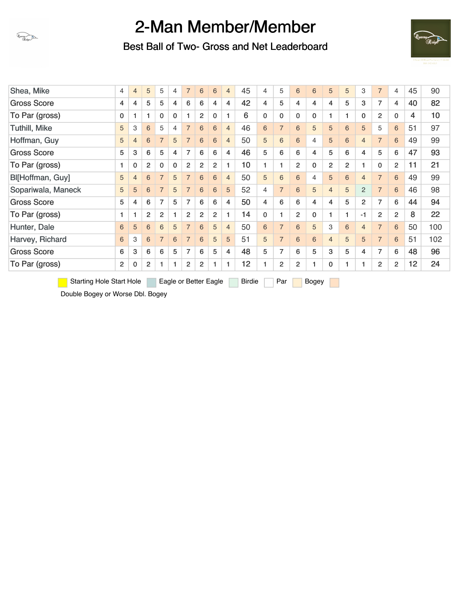

Best Ball of Two- Gross and Net Leaderboard



| Shea, Mike           | 4              | $\overline{4}$ | 5              | 5              | 4            | $\overline{7}$ | 6              | 6              | $\overline{4}$ | 45 | 4           | 5              | 6              | 6           | 5              | 5              | 3              | $\overline{7}$ | 4              | 45 | 90  |
|----------------------|----------------|----------------|----------------|----------------|--------------|----------------|----------------|----------------|----------------|----|-------------|----------------|----------------|-------------|----------------|----------------|----------------|----------------|----------------|----|-----|
| <b>Gross Score</b>   | 4              | 4              | 5              | 5              | 4            | 6              | 6              | 4              | 4              | 42 | 4           | 5              | 4              | 4           | $\overline{4}$ | 5              | 3              | 7              | 4              | 40 | 82  |
| To Par (gross)       | 0              | 1              | 1              | 0              | $\mathbf{0}$ | 1              | 2              | $\Omega$       | 1              | 6  | $\mathbf 0$ | $\mathbf{0}$   | 0              | $\mathbf 0$ |                |                | 0              | $\overline{2}$ | $\mathbf 0$    | 4  | 10  |
| <b>Tuthill, Mike</b> | 5              | 3              | 6              | 5              | 4            | $\overline{7}$ | 6              | 6              | $\overline{4}$ | 46 | 6           | $\overline{7}$ | 6              | 5           | 5              | 6              | 5              | 5              | 6              | 51 | 97  |
| Hoffman, Guy         | 5              | $\overline{4}$ | 6              | $\overline{7}$ | 5            | $\overline{7}$ | 6              | 6              | $\overline{4}$ | 50 | 5           | 6              | 6              | 4           | 5              | 6              | $\overline{4}$ | $\overline{7}$ | 6              | 49 | 99  |
| <b>Gross Score</b>   | 5              | 3              | 6              | 5              | 4            | 7              | 6              | 6              | $\overline{4}$ | 46 | 5           | 6              | 6              | 4           | 5              | 6              | 4              | 5              | 6              | 47 | 93  |
| To Par (gross)       | 1.             | $\mathbf 0$    | 2              | $\mathbf 0$    | $\mathbf{0}$ | $\overline{2}$ | $\overline{2}$ | 2              | 1              | 10 | 1           | 1              | $\overline{2}$ | $\mathbf 0$ | $\overline{2}$ | $\overline{2}$ |                | $\Omega$       | $\overline{2}$ | 11 | 21  |
| Bl[Hoffman, Guy]     | 5              | $\overline{4}$ | 6              | $\overline{7}$ | 5            | $\overline{7}$ | 6              | 6              | $\overline{4}$ | 50 | 5           | 6              | 6              | 4           | 5              | 6              | $\overline{4}$ | $\overline{7}$ | 6              | 49 | 99  |
| Sopariwala, Maneck   | 5              | 5              | 6              | $\overline{7}$ | 5            | $\overline{7}$ | 6              | 6              | 5              | 52 | 4           | $\overline{7}$ | 6              | 5           | $\overline{4}$ | 5              | 2              | $\overline{7}$ | 6              | 46 | 98  |
| <b>Gross Score</b>   | 5              | 4              | 6              | $\overline{7}$ | 5            | 7              | 6              | 6              | $\overline{4}$ | 50 | 4           | 6              | 6              | 4           | $\overline{4}$ | 5              | $\overline{2}$ | 7              | 6              | 44 | 94  |
| To Par (gross)       | $\mathbf{1}$   | 1              | $\overline{2}$ | $\overline{2}$ | 1            | 2              | $\overline{2}$ | $\overline{2}$ | 1              | 14 | $\mathbf 0$ | 1              | 2              | $\mathbf 0$ |                |                | $-1$           | $\overline{2}$ | $\overline{2}$ | 8  | 22  |
| Hunter, Dale         | 6              | 5              | 6              | 6              | 5            | $\overline{7}$ | 6              | 5              | $\overline{4}$ | 50 | 6           | $\overline{7}$ | 6              | 5           | 3              | 6              | $\overline{4}$ | $\overline{7}$ | 6              | 50 | 100 |
| Harvey, Richard      | 6              | 3              | 6              | $\overline{7}$ | 6            | $\overline{7}$ | 6              | 5              | 5              | 51 | 5           | $\overline{7}$ | 6              | 6           | $\overline{4}$ | 5              | 5              | $\overline{7}$ | 6              | 51 | 102 |
| <b>Gross Score</b>   | 6              | 3              | 6              | 6              | 5            | 7              | 6              | 5              | 4              | 48 | 5           | 7              | 6              | 5           | 3              | 5              | 4              | $\overline{7}$ | 6              | 48 | 96  |
| To Par (gross)       | $\overline{2}$ | 0              | $\overline{2}$ |                | 1.           | $\overline{2}$ | $\overline{2}$ |                | 1              | 12 |             | $\overline{c}$ | 2              |             | 0              |                |                | $\overline{2}$ | $\overline{2}$ | 12 | 24  |
|                      |                |                |                |                |              |                |                |                |                |    |             |                |                |             |                |                |                |                |                |    |     |

Starting Hole Start Hole Eagle or Better Eagle Birdie Par Bogey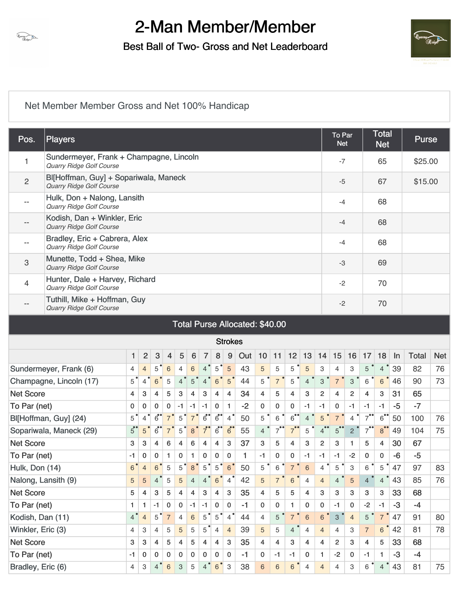

Best Ball of Two- Gross and Net Leaderboard



#### [Net Member Member Gross and Net 100% Handicap](https://static.golfgenius.com/v2tournaments/8450191079000521229?called_from=&round_index=1)

| Pos.              | <b>Players</b>                                                             |                                                                |                           |                              |                |                           |                |                           |                |                |      |                |                |                      |                 |                      | To Par<br><b>Net</b> |                |                      | <b>Total</b><br><b>Net</b> |       | <b>Purse</b> |            |
|-------------------|----------------------------------------------------------------------------|----------------------------------------------------------------|---------------------------|------------------------------|----------------|---------------------------|----------------|---------------------------|----------------|----------------|------|----------------|----------------|----------------------|-----------------|----------------------|----------------------|----------------|----------------------|----------------------------|-------|--------------|------------|
| 1                 | Sundermeyer, Frank + Champagne, Lincoln<br><b>Quarry Ridge Golf Course</b> |                                                                |                           |                              |                |                           |                |                           |                |                |      |                |                |                      |                 |                      | $-7$                 |                |                      | 65                         |       | \$25.00      |            |
| $\overline{c}$    | Bl[Hoffman, Guy] + Sopariwala, Maneck<br>Quarry Ridge Golf Course          |                                                                |                           |                              |                |                           |                |                           |                |                |      |                |                |                      |                 |                      | $-5$                 |                |                      | 67                         |       | \$15.00      |            |
|                   | Hulk, Don + Nalong, Lansith<br>Quarry Ridge Golf Course                    |                                                                |                           |                              |                |                           |                |                           |                |                |      |                |                |                      |                 |                      | $-4$                 |                |                      | 68                         |       |              |            |
| $-$               | Kodish, Dan + Winkler, Eric<br>Quarry Ridge Golf Course                    |                                                                |                           |                              |                |                           |                |                           |                |                |      |                |                |                      |                 |                      | $-4$                 |                |                      | 68                         |       |              |            |
| $-$               | Bradley, Eric + Cabrera, Alex<br><b>Quarry Ridge Golf Course</b>           |                                                                |                           |                              |                |                           |                |                           |                |                |      |                |                |                      |                 |                      | $-4$                 |                |                      | 68                         |       |              |            |
| 3                 | Munette, Todd + Shea, Mike<br>Quarry Ridge Golf Course                     |                                                                |                           |                              |                |                           |                |                           |                |                |      |                |                |                      |                 |                      | $-3$                 |                |                      | 69                         |       |              |            |
| 4                 | Hunter, Dale + Harvey, Richard<br>Quarry Ridge Golf Course                 |                                                                |                           |                              |                |                           |                |                           |                |                |      |                |                |                      |                 |                      | $-2$                 |                |                      | 70                         |       |              |            |
| $-$               | Quarry Ridge Golf Course                                                   | Tuthill, Mike + Hoffman, Guy<br>Total Purse Allocated: \$40.00 |                           |                              |                |                           |                |                           |                |                |      |                |                |                      |                 |                      | $-2$                 |                |                      | 70                         |       |              |            |
|                   |                                                                            |                                                                |                           |                              |                |                           |                |                           |                |                |      |                |                |                      |                 |                      |                      |                |                      |                            |       |              |            |
|                   |                                                                            |                                                                |                           |                              |                |                           |                |                           |                | <b>Strokes</b> |      |                |                |                      |                 |                      |                      |                |                      |                            |       |              |            |
|                   |                                                                            | 1                                                              | $\overline{2}$            | $\sqrt{3}$                   | $\overline{4}$ | 5                         | 6              | $\overline{7}$            | 8              | 9              | Out  | 10             | 11             | 12                   | 13              | 14                   | 15                   | 16             | 17                   | 18                         | $\ln$ | <b>Total</b> | <b>Net</b> |
|                   | Sundermeyer, Frank (6)                                                     | 4                                                              | $\overline{4}$            | 5                            | $\,6\,$        | $\overline{4}$            | $\,$ 6 $\,$    | $\overline{4}$            | 5              | 5              | 43   | 5              | 5              | 5                    | 5               | 3                    | 4                    | 3              | 5                    | $\overline{4}$             | 39    | 82           | 76         |
|                   | Champagne, Lincoln (17)                                                    | $5^{\degree}$                                                  | $\overline{4}$            | $6\phantom{1}6$              | $\sqrt{5}$     | $4^{\degree}$             | 5              | $\overline{4}$            | 6              | 5              | 44   | 5              | $\overline{7}$ | 5                    | $\overline{4}$  | 3                    | $\overline{7}$       | 3              | 6                    | 6                          | 46    | 90           | 73         |
| <b>Net Score</b>  |                                                                            | 4                                                              | $\mathbf{3}$              | $\overline{4}$               | 5              | 3                         | 4              | 3                         | $\overline{4}$ | $\overline{4}$ | 34   | 4              | 5              | 4                    | 3               | $\overline{2}$       | $\overline{4}$       | $\overline{2}$ | 4                    | 3                          | 31    | 65           |            |
| To Par (net)      |                                                                            | 0                                                              | $\mathbf 0$               | 0                            | 0              | $-1$                      | $-1$           | $-1$                      | 0              | $\mathbf{1}$   | $-2$ | 0              | 0              | 0                    | $-1$            | $-1$                 | 0                    | -1             | $-1$                 | $-1$                       | $-5$  | $-7$         |            |
|                   | Bl[Hoffman, Guy] (24)                                                      | $5^{\degree}$                                                  | $\overline{4}$            | $\overline{6}$               | $\overline{7}$ | 5                         | $\overline{7}$ | $\overline{6}$            | $\overline{6}$ | $\overline{4}$ | 50   | 5              | 6              | $\overline{6}$       | $\overline{4}$  | 5                    | $\overline{7}$       | 4              | $7^{\bullet\bullet}$ | $\overline{6}$             | 50    | 100          | 76         |
|                   | Sopariwala, Maneck (29)                                                    | $5^{\circ}$                                                    | 5 <sup>°</sup>            | $\overline{6}$ <sup>**</sup> | $\overline{7}$ | 5                         | 8 <sup>°</sup> | $7^{\circ}$               | $6^{\bullet}$  | $6^{\circ}$    | 55   | $\overline{4}$ | $7^{11}$       | $7^{\bullet\bullet}$ | 5               | $4^{\bullet\bullet}$ | 5                    | $\overline{2}$ | $7^{\bullet\bullet}$ | $8^{\bullet}$              | 49    | 104          | 75         |
| <b>Net Score</b>  |                                                                            | 3                                                              | 3                         | 4                            | $\,6\,$        | 4                         | 6              | 4                         | 4              | 3              | 37   | 3              | 5              | $\overline{4}$       | 3               | $\overline{2}$       | 3                    | 1              | 5                    | 4                          | 30    | 67           |            |
| To Par (net)      |                                                                            | -1                                                             | 0                         | 0                            | 1              | 0                         | 1              | $\mathbf 0$               | 0              | 0              | 1    | $-1$           | 0              | 0                    | -1              | $-1$                 | $-1$                 | $-2$           | 0                    | 0                          | $-6$  | $-5$         |            |
| Hulk, Don (14)    |                                                                            | 6                                                              | $\overline{4}$            | $6\phantom{1}6$              | 5              | 5                         | 8              | $\mathbf 5$               | 5              | 6              | 50   | 5              | 6              |                      | 6               | 4                    | 5                    | З              | 6                    | 5                          | 47    | 97           | 83         |
|                   | Nalong, Lansith (9)                                                        | 5                                                              | 5                         | $\overline{4}$               | $\sqrt{5}$     | 5                         | $\overline{4}$ | 4 <sup>°</sup>            | 6 <sup>°</sup> | $\overline{4}$ | 42   | 5              | $\overline{7}$ | 6                    | $\overline{4}$  | $\overline{4}$       | $\overline{4}$       | 5              | $\overline{4}$       | $\overline{4}$             | 43    | 85           | 76         |
| <b>Net Score</b>  |                                                                            | 5                                                              | $\overline{4}$            | 3                            | 5              | $\overline{\mathbf{4}}$   | 4              | $\ensuremath{\mathsf{3}}$ | 4              | 3              | 35   | $\overline{4}$ | 5              | 5                    | $\overline{4}$  | 3                    | 3                    | 3              | 3                    | 3                          | 33    | 68           |            |
| To Par (net)      |                                                                            | 1                                                              | $\mathbf{1}$              | $-1$                         | 0              | 0                         | $-1$           | $-1$                      | $\bf{0}$       | 0              | $-1$ | 0              | 0              | $\mathbf{1}$         | 0               | $\mathbf 0$          | $-1$                 | $\mathbf 0$    | $-2$                 | $-1$                       | $-3$  | $-4$         |            |
| Kodish, Dan (11)  |                                                                            | 4 <sup>°</sup>                                                 | $\overline{4}$            | 5 <sup>°</sup>               | $\overline{7}$ | $\overline{4}$            | 6              | $5^{\degree}$             | $\sqrt{5}$     | $\overline{4}$ | 44   | 4              | 5              | 7 <sup>°</sup>       | $6\phantom{1}6$ | $6\phantom{a}$       | $\mathbf{3}$         | $\overline{4}$ | 5 <sup>°</sup>       | $\overline{7}$             | 47    | 91           | 80         |
| Winkler, Eric (3) |                                                                            | 4                                                              | 3                         | $\overline{4}$               | 5              | 5                         | 5              | 5 <sup>1</sup>            | $\overline{4}$ | $\overline{4}$ | 39   | 5              | 5              | $\overline{4}$       | 4               | $\overline{4}$       | 4                    | 3              | $\overline{7}$       | 6                          | 42    | 81           | 78         |
| <b>Net Score</b>  |                                                                            | 3                                                              | $\mathbf{3}$              | $\overline{4}$               | 5              | $\overline{\mathbf{4}}$   | 5              | $\overline{4}$            | $\overline{4}$ | 3              | 35   | $\overline{4}$ | 4              | 3                    | $\overline{4}$  | 4                    | $\overline{c}$       | 3              | $\overline{4}$       | 5                          | 33    | 68           |            |
| To Par (net)      |                                                                            | $-1$                                                           | $\mathbf 0$               | 0                            | 0              | 0                         | 0              | 0                         | 0              | $\mathbf{0}$   | $-1$ | $\mathbf{0}$   | $-1$           | $-1$                 | $\mathbf 0$     | $\mathbf{1}$         | $-2$                 | $\mathbf 0$    | $-1$                 | 1.                         | $-3$  | $-4$         |            |
| Bradley, Eric (6) |                                                                            | 4                                                              | $\ensuremath{\mathsf{3}}$ | 4 <sup>°</sup>               | $\,6\,$        | $\ensuremath{\mathsf{3}}$ | 5              | 4 <sup>°</sup>            | 6 <sup>°</sup> | $\mathbf{3}$   | 38   | 6              | 6              | 6                    | $\overline{4}$  | $\overline{4}$       | 4                    | 3              | 6                    | $\overline{4}$             | 43    | 81           | 75         |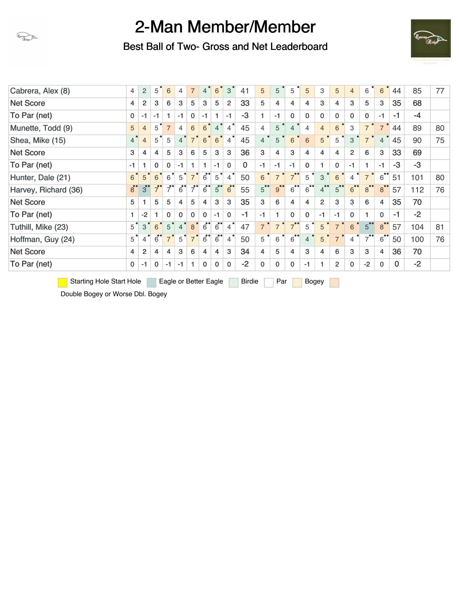

Best Ball of Two- Gross and Net Leaderboard



| Cabrera, Alex (8)    | $\overline{4}$ | $\overline{2}$ | 5              | 6              | $\overline{4}$ | $\overline{7}$   | $4^{\degree}$               | $6^{\degree}$               | 3              | 41       | 5                    | 5              | 5                 | 5              | 3              | 5              | $\overline{4}$       | 6                    | 6                 | 44       | 85   | 77 |
|----------------------|----------------|----------------|----------------|----------------|----------------|------------------|-----------------------------|-----------------------------|----------------|----------|----------------------|----------------|-------------------|----------------|----------------|----------------|----------------------|----------------------|-------------------|----------|------|----|
| <b>Net Score</b>     | $\overline{4}$ | $\overline{2}$ | 3              | 6              | 3              | 5                | 3                           | 5                           | 2              | 33       | 5                    | 4              | 4                 | 4              | 3              | 4              | 3                    | 5                    | 3                 | 35       | 68   |    |
| To Par (net)         | $\mathbf{0}$   | $-1$           | $-1$           | $\mathbf{1}$   | $-1$           | $\mathbf 0$      | $-1$                        | 1                           | $-1$           | -3       | 1                    | $-1$           | $\mathbf 0$       | $\mathbf{0}$   | 0              | 0              | $\mathbf 0$          | 0                    | $-1$              | $-1$     | -4   |    |
| Munette, Todd (9)    | 5              | $\overline{4}$ | 5              | $\overline{7}$ | $\overline{4}$ | $6\phantom{1}$   | 6 <sup>°</sup>              | 4 <sup>o</sup>              | $\overline{4}$ | 45       | $\overline{4}$       | 5              | $\overline{4}$    | $\overline{4}$ | $\overline{4}$ | $6\phantom{1}$ | 3                    | $\overline{7}$       | $\overline{7}$    | 44       | 89   | 80 |
| Shea, Mike (15)      | 4 <sup>°</sup> | $\overline{4}$ | $5^{\circ}$    | 5              | $\overline{4}$ | $7^{\circ}$      | $6\phantom{1}$              | 6                           | $\overline{4}$ | 45       | $\overline{4}$       | 5              | 6                 | 6              | 5              | 5              | 3                    | $\overline{7}$       | $\overline{4}$    | 45       | 90   | 75 |
| <b>Net Score</b>     | 3              | $\overline{4}$ | 4              | 5              | 3              | 6                | 5                           | 3                           | 3              | 36       | 3                    | 4              | 3                 | 4              | 4              | 4              | $\overline{2}$       | 6                    | 3                 | 33       | 69   |    |
| To Par (net)         | $-1$           | 1              | $\mathbf{0}$   | 0              | $-1$           | 1                | 1                           | $-1$                        | $\mathbf{0}$   | $\Omega$ | $-1$                 | $-1$           | $-1$              | $\Omega$       | 1              | $\Omega$       | $-1$                 |                      | $-1$              | $-3$     | $-3$ |    |
| Hunter, Dale (21)    | 6 <sup>°</sup> | $5^{\circ}$    | 6              | 6              | 5              | $\overline{7}$   | $6^{\bullet}$               | 5                           | 4              | 50       | 6                    | $\overline{7}$ | 7 <sup>°</sup>    | 5              | 3              | 6              | 4                    | $\overline{7}$       | $6$ <sup>**</sup> | 51       | 101  | 80 |
| Harvey, Richard (36) | $\overline{8}$ | $3^{\circ}$    | $\overline{7}$ | $\overline{7}$ | $6^{\bullet}$  | $\overline{7}$   | $6^{\bullet}$               | $5^{\circ}$                 | $6^{\circ}$    | 55       | $5^{\bullet\bullet}$ | 9 <sup>°</sup> | 6                 | $6^{\circ}$    | 4              | $5^{\degree}$  | $6^{\bullet\bullet}$ | 8 <sup>o</sup>       | 8 <sup>°</sup>    | 57       | 112  | 76 |
| <b>Net Score</b>     | 5              | 1.             | 5              | 5              | $\overline{4}$ | 5                | $\overline{4}$              | 3                           | 3              | 35       | 3                    | 6              | 4                 | 4              | $\overline{c}$ | 3              | 3                    | 6                    | $\overline{4}$    | 35       | 70   |    |
| To Par (net)         | 1.             | $-2$           | 1.             | 0              | 0              | 0                | $\mathbf 0$                 | $-1$                        | $\mathbf 0$    | $-1$     | $-1$                 | 1              | $\mathbf{0}$      | $\mathbf{0}$   | $-1$           | $-1$           | $\mathbf 0$          |                      | $\mathbf{0}$      | $-1$     | $-2$ |    |
| Tuthill, Mike (23)   | $5^{\degree}$  | 3              | 6              | 5              | $\overline{4}$ | $\boldsymbol{8}$ | $\overline{6}$ <sup>*</sup> | $\overline{6}$ <sup>*</sup> | 4              | 47       | $7^{1}$              | $\overline{7}$ | $7^{\circ}$       | 5              | 5              | $\overline{7}$ | 6                    | 5 <sup>o</sup>       | 8 <sup>o</sup>    | 57       | 104  | 81 |
| Hoffman, Guy (24)    | $5^{\circ}$    | $\overline{4}$ | $6$ °          | $\overline{7}$ | 5              | $\overline{7}$   | $6^{\bullet}$               | $\overline{6}$ <sup>*</sup> | $\overline{4}$ | 50       | 5                    | 6              | $6$ <sup>**</sup> | 4              | 5              | $\overline{7}$ | $\overline{4}$       | $7^{\bullet\bullet}$ | $6$ <sup>**</sup> | 50       | 100  | 76 |
| <b>Net Score</b>     | $\overline{4}$ | $\overline{2}$ | 4              | $\overline{4}$ | 3              | 6                | $\overline{4}$              | 4                           | 3              | 34       | $\overline{4}$       | 5              | 4                 | 3              | 4              | 6              | 3                    | 3                    | $\overline{4}$    | 36       | 70   |    |
| To Par (net)         | $\mathbf{0}$   | $-1$           | $\mathbf{0}$   | $-1$           | $-1$           | 1                | $\mathbf 0$                 | $\mathbf 0$                 | $\mathbf 0$    | $-2$     | 0                    | $\mathbf 0$    | $\mathbf 0$       | $-1$           |                | 2              | 0                    | $-2$                 | $\mathbf 0$       | $\bf{0}$ | $-2$ |    |
|                      |                |                |                |                |                |                  |                             |                             |                |          |                      |                |                   |                |                |                |                      |                      |                   |          |      |    |

Starting Hole Start Hole Eagle or Better Eagle Birdie Par Bogey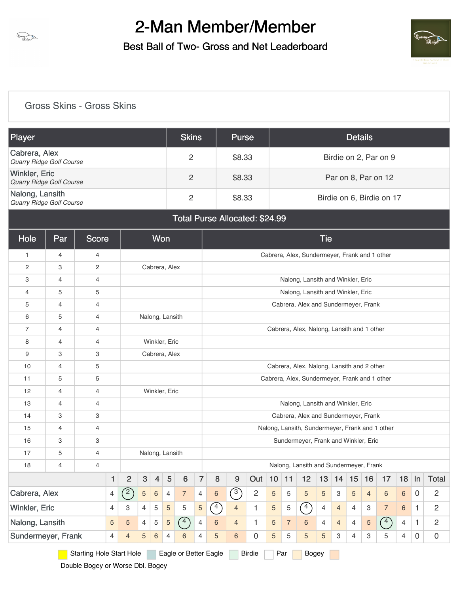

Best Ball of Two- Gross and Net Leaderboard



#### [Gross Skins - Gross Skins](https://static.golfgenius.com/v2tournaments/8450191092220967439?called_from=&round_index=1)

| Player                                           | <b>Skins</b> | <b>Purse</b> | <b>Details</b>            |
|--------------------------------------------------|--------------|--------------|---------------------------|
| Cabrera, Alex<br>Quarry Ridge Golf Course        | 2            | \$8.33       | Birdie on 2, Par on 9     |
| <b>Winkler, Eric</b><br>Quarry Ridge Golf Course | 2            | \$8.33       | Par on 8, Par on 12       |
| Nalong, Lansith<br>Quarry Ridge Golf Course      | 2            | \$8.33       | Birdie on 6, Birdie on 17 |

#### Total Purse Allocated: \$24.99

| <b>Hole</b>        | Par            | <b>Score</b>                    |   |                                                |                           | Won            |                 |                       |                |            |                |                |    |                |                                                 | <b>Tie</b> |                |    |                |                |                |              |                |
|--------------------|----------------|---------------------------------|---|------------------------------------------------|---------------------------|----------------|-----------------|-----------------------|----------------|------------|----------------|----------------|----|----------------|-------------------------------------------------|------------|----------------|----|----------------|----------------|----------------|--------------|----------------|
| $\mathbf{1}$       | $\overline{4}$ | 4                               |   |                                                |                           |                |                 |                       |                |            |                |                |    |                | Cabrera, Alex, Sundermeyer, Frank and 1 other   |            |                |    |                |                |                |              |                |
| $\overline{2}$     | 3              | $\overline{c}$                  |   |                                                |                           |                | Cabrera, Alex   |                       |                |            |                |                |    |                |                                                 |            |                |    |                |                |                |              |                |
| 3                  | $\overline{4}$ | 4                               |   |                                                |                           |                |                 |                       |                |            |                |                |    |                | Nalong, Lansith and Winkler, Eric               |            |                |    |                |                |                |              |                |
| 4                  | 5              | 5                               |   |                                                |                           |                |                 |                       |                |            |                |                |    |                | Nalong, Lansith and Winkler, Eric               |            |                |    |                |                |                |              |                |
| 5                  | 4              | 4                               |   |                                                |                           |                |                 |                       |                |            |                |                |    |                | Cabrera, Alex and Sundermeyer, Frank            |            |                |    |                |                |                |              |                |
| 6                  | 5              | $\overline{4}$                  |   |                                                |                           |                | Nalong, Lansith |                       |                |            |                |                |    |                |                                                 |            |                |    |                |                |                |              |                |
| $\overline{7}$     | $\overline{4}$ | $\overline{4}$                  |   |                                                |                           |                |                 |                       |                |            |                |                |    |                | Cabrera, Alex, Nalong, Lansith and 1 other      |            |                |    |                |                |                |              |                |
| 8                  | $\overline{4}$ | $\overline{4}$                  |   |                                                |                           |                | Winkler, Eric   |                       |                |            |                |                |    |                |                                                 |            |                |    |                |                |                |              |                |
| 9                  | 3              | 3                               |   |                                                |                           |                | Cabrera, Alex   |                       |                |            |                |                |    |                |                                                 |            |                |    |                |                |                |              |                |
| 10                 | 4              | 5                               |   |                                                |                           |                |                 |                       |                |            |                |                |    |                | Cabrera, Alex, Nalong, Lansith and 2 other      |            |                |    |                |                |                |              |                |
| 11                 | 5              | 5                               |   |                                                |                           |                |                 |                       |                |            |                |                |    |                | Cabrera, Alex, Sundermeyer, Frank and 1 other   |            |                |    |                |                |                |              |                |
| 12                 | 4              | 4                               |   |                                                |                           |                | Winkler, Eric   |                       |                |            |                |                |    |                |                                                 |            |                |    |                |                |                |              |                |
| 13                 | $\overline{4}$ | $\overline{4}$                  |   |                                                |                           |                |                 |                       |                |            |                |                |    |                | Nalong, Lansith and Winkler, Eric               |            |                |    |                |                |                |              |                |
| 14                 | 3              | 3                               |   |                                                |                           |                |                 |                       |                |            |                |                |    |                | Cabrera, Alex and Sundermeyer, Frank            |            |                |    |                |                |                |              |                |
| 15                 | 4              | 4                               |   |                                                |                           |                |                 |                       |                |            |                |                |    |                | Nalong, Lansith, Sundermeyer, Frank and 1 other |            |                |    |                |                |                |              |                |
| 16                 | 3              | 3                               |   |                                                |                           |                |                 |                       |                |            |                |                |    |                | Sundermeyer, Frank and Winkler, Eric            |            |                |    |                |                |                |              |                |
| 17                 | 5              | 4                               |   |                                                |                           |                | Nalong, Lansith |                       |                |            |                |                |    |                |                                                 |            |                |    |                |                |                |              |                |
| 18                 | 4              | 4                               |   |                                                |                           |                |                 |                       |                |            |                |                |    |                | Nalong, Lansith and Sundermeyer, Frank          |            |                |    |                |                |                |              |                |
|                    |                |                                 | 1 | $\overline{2}$                                 | $\ensuremath{\mathsf{3}}$ | $\overline{4}$ | 5               | 6                     | $\overline{7}$ | 8          | 9              | Out            | 10 | 11             | 12                                              | 13         | 14             | 15 | 16             | 17             | 18             | ln           | <b>Total</b>   |
| Cabrera, Alex      |                |                                 | 4 | $\left( \begin{matrix} 2 \end{matrix} \right)$ | $\overline{5}$            | $\,6\,$        | $\overline{4}$  | $\overline{7}$        | $\overline{4}$ | 6          | $\sqrt{3}$     | $\overline{c}$ | 5  | 5              | 5                                               | $\sqrt{5}$ | 3              | 5  | $\overline{4}$ | 6              | 6              | $\mathbf 0$  | $\overline{c}$ |
| Winkler, Eric      |                |                                 | 4 | 3                                              | 4                         | 5              | 5               | 5                     | 5              | $\sqrt{4}$ | $\overline{4}$ | 1              | 5  | 5              | $\sqrt{4}$                                      | 4          | $\overline{4}$ | 4  | З              | $\overline{7}$ | 6              | $\mathbf{1}$ | $\overline{c}$ |
| Nalong, Lansith    |                |                                 | 5 | 5                                              | 4                         | 5              | $\overline{5}$  | $\curvearrowleft$     | 4              | 6          | $\overline{4}$ | 1              | 5  | $\overline{7}$ | 6                                               | 4          | $\overline{4}$ | 4  | 5              | $\sqrt{4}$     | $\overline{4}$ | $\mathbf{1}$ | $\overline{c}$ |
| Sundermeyer, Frank |                |                                 | 4 | $\overline{4}$                                 | 5                         | $\,6\,$        | $\overline{4}$  | 6                     | 4              | 5          | 6              | 0              | 5  | 5              | 5                                               | 5          | 3              | 4  | 3              | 5              | 4              | $\mathbf 0$  | $\overline{0}$ |
|                    |                | <b>Starting Hole Start Hole</b> |   |                                                |                           |                |                 | Eagle or Better Eagle |                |            |                | <b>Birdie</b>  |    | Par            | <b>Bogey</b>                                    |            |                |    |                |                |                |              |                |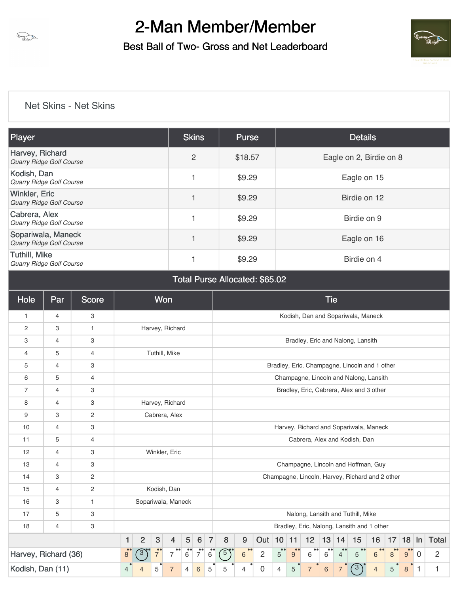

Best Ball of Two- Gross and Net Leaderboard



#### [Net Skins - Net Skins](https://static.golfgenius.com/v2tournaments/8450191121513986576?called_from=&round_index=1)

| Player                                                  | <b>Skins</b>   | <b>Purse</b> | <b>Details</b>          |
|---------------------------------------------------------|----------------|--------------|-------------------------|
| Harvey, Richard<br><b>Quarry Ridge Golf Course</b>      | $\overline{2}$ | \$18.57      | Eagle on 2, Birdie on 8 |
| Kodish, Dan<br>Quarry Ridge Golf Course                 |                | \$9.29       | Eagle on 15             |
| <b>Winkler, Eric</b><br>Quarry Ridge Golf Course        |                | \$9.29       | Birdie on 12            |
| Cabrera, Alex<br><b>Quarry Ridge Golf Course</b>        |                | \$9.29       | Birdie on 9             |
| Sopariwala, Maneck<br><b>Quarry Ridge Golf Course</b>   |                | \$9.29       | Eagle on 16             |
| <b>Tuthill, Mike</b><br><b>Quarry Ridge Golf Course</b> |                | \$9.29       | Birdie on 4             |

Total Purse Allocated: \$65.02

| Hole                 | Par | <b>Score</b> |                |                |              | <b>Won</b>         |                |         |                |            |                           |                |                                |                                   |                | <b>Tie</b> |                                    |                                                 |                |    |                       |              |                |
|----------------------|-----|--------------|----------------|----------------|--------------|--------------------|----------------|---------|----------------|------------|---------------------------|----------------|--------------------------------|-----------------------------------|----------------|------------|------------------------------------|-------------------------------------------------|----------------|----|-----------------------|--------------|----------------|
| 1                    | 4   | 3            |                |                |              |                    |                |         |                |            |                           |                |                                |                                   |                |            |                                    | Kodish, Dan and Sopariwala, Maneck              |                |    |                       |              |                |
| 2                    | 3   | 1            |                |                |              | Harvey, Richard    |                |         |                |            |                           |                |                                |                                   |                |            |                                    |                                                 |                |    |                       |              |                |
| 3                    | 4   | 3            |                |                |              |                    |                |         |                |            |                           |                |                                |                                   |                |            |                                    | Bradley, Eric and Nalong, Lansith               |                |    |                       |              |                |
| 4                    | 5   | 4            |                |                |              | Tuthill, Mike      |                |         |                |            |                           |                |                                |                                   |                |            |                                    |                                                 |                |    |                       |              |                |
| 5                    | 4   | 3            |                |                |              |                    |                |         |                |            |                           |                |                                |                                   |                |            |                                    | Bradley, Eric, Champagne, Lincoln and 1 other   |                |    |                       |              |                |
| 6                    | 5   | 4            |                |                |              |                    |                |         |                |            |                           |                |                                |                                   |                |            |                                    | Champagne, Lincoln and Nalong, Lansith          |                |    |                       |              |                |
| $\overline{7}$       | 4   | 3            |                |                |              |                    |                |         |                |            |                           |                |                                |                                   |                |            |                                    | Bradley, Eric, Cabrera, Alex and 3 other        |                |    |                       |              |                |
| 8                    | 4   | 3            |                |                |              | Harvey, Richard    |                |         |                |            |                           |                |                                |                                   |                |            |                                    |                                                 |                |    |                       |              |                |
| 9                    | 3   | 2            |                |                |              | Cabrera, Alex      |                |         |                |            |                           |                |                                |                                   |                |            |                                    |                                                 |                |    |                       |              |                |
| 10                   | 4   | 3            |                |                |              |                    |                |         |                |            |                           |                |                                |                                   |                |            |                                    | Harvey, Richard and Sopariwala, Maneck          |                |    |                       |              |                |
| 11                   | 5   | 4            |                |                |              |                    |                |         |                |            |                           |                |                                |                                   |                |            |                                    | Cabrera, Alex and Kodish, Dan                   |                |    |                       |              |                |
| 12                   | 4   | 3            |                |                |              | Winkler, Eric      |                |         |                |            |                           |                |                                |                                   |                |            |                                    |                                                 |                |    |                       |              |                |
| 13                   | 4   | 3            |                |                |              |                    |                |         |                |            |                           |                |                                |                                   |                |            |                                    | Champagne, Lincoln and Hoffman, Guy             |                |    |                       |              |                |
| 14                   | 3   | 2            |                |                |              |                    |                |         |                |            |                           |                |                                |                                   |                |            |                                    | Champagne, Lincoln, Harvey, Richard and 2 other |                |    |                       |              |                |
| 15                   | 4   | 2            |                |                |              | Kodish, Dan        |                |         |                |            |                           |                |                                |                                   |                |            |                                    |                                                 |                |    |                       |              |                |
| 16                   | 3   | $\mathbf{1}$ |                |                |              | Sopariwala, Maneck |                |         |                |            |                           |                |                                |                                   |                |            |                                    |                                                 |                |    |                       |              |                |
| 17                   | 5   | 3            |                |                |              |                    |                |         |                |            |                           |                |                                |                                   |                |            |                                    | Nalong, Lansith and Tuthill, Mike               |                |    |                       |              |                |
| 18                   | 4   | 3            |                |                |              |                    |                |         |                |            |                           |                |                                |                                   |                |            |                                    | Bradley, Eric, Nalong, Lansith and 1 other      |                |    |                       |              |                |
|                      |     |              | $\mathbf{1}$   | $\overline{2}$ | $\mathbf{3}$ | $\overline{4}$     | 5              | $\,6\,$ | $\overline{7}$ | 8          | $\boldsymbol{9}$          | Out            | $10$   11                      |                                   | 12             |            | 13 14                              | 15                                              | 16             | 17 | 18                    | $\ln$        | <b>Total</b>   |
| Harvey, Richard (36) |     |              | $\bullet$<br>8 | $\cdot$ 3      | 7            | 7                  | 6              | 7       | $\,6$          | $\sqrt{5}$ | $\bullet\bullet$<br>$6\,$ | $\overline{c}$ | $^{\bullet}$<br>$\overline{5}$ | $\bullet\bullet$<br>$9^{\degree}$ | 6              | 6          | $\bullet\bullet$<br>$\overline{4}$ | 5                                               | $6\phantom{1}$ | 8  | $\bullet\bullet$<br>9 | $\Omega$     | $\overline{2}$ |
| Kodish, Dan (11)     |     |              | 4              | $\overline{4}$ | 5            | $\overline{7}$     | $\overline{4}$ | $\,6\,$ | 5              | 5          | 4                         | 0              | $\overline{4}$                 | 5                                 | $\overline{7}$ | $\,6$      | 7                                  | $\mathcal{E}$                                   | $\overline{4}$ | 5  | 8                     | $\mathbf{1}$ | 1              |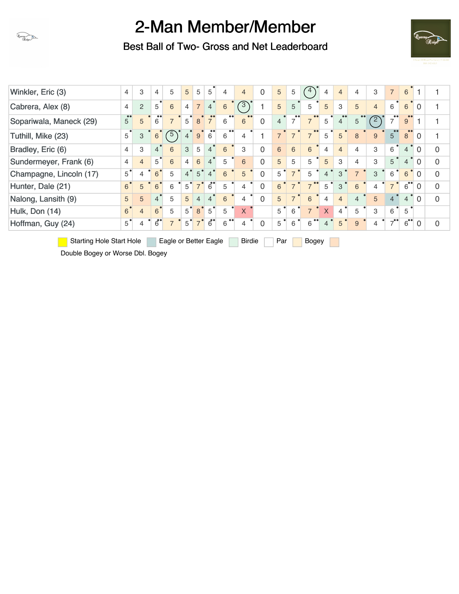

Best Ball of Two- Gross and Net Leaderboard



| Winkler, Eric (3)       | $\overline{4}$ | 3              | 4              | 5              | 5              | 5              | 5              | 4                     | $\overline{4}$ | 0        | 5              | 5              |                                    | 4                         | $\overline{4}$ | 4              | 3              | $\overline{7}$ | 6                    |                |             |
|-------------------------|----------------|----------------|----------------|----------------|----------------|----------------|----------------|-----------------------|----------------|----------|----------------|----------------|------------------------------------|---------------------------|----------------|----------------|----------------|----------------|----------------------|----------------|-------------|
| Cabrera, Alex (8)       | $\overline{4}$ | $\overline{2}$ | 5              | 6              | $\overline{4}$ | $\overline{7}$ | $\overline{4}$ | 6                     | $\sqrt{3}$     |          | 5              | 5              | 5                                  | 5                         | 3              | 5              | $\overline{4}$ | 6              | 6                    | 0              |             |
| Sopariwala, Maneck (29) | $5^{\circ}$    | 5              | 6              | $\overline{7}$ | 5              | 8              | $\overline{7}$ | 6                     | 6              | 0        | $\overline{4}$ | $\overline{7}$ | $\bullet\bullet$<br>$\overline{7}$ | 5                         | $\overline{4}$ | 5              | $\overline{2}$ |                | 9                    |                |             |
| Tuthill, Mike (23)      | 5              | 3              | 6              | $\sqrt{5}$     | $\overline{4}$ | 9              | $\overline{6}$ | $\bullet$<br>6        | 4              |          | $\overline{7}$ | $\overline{7}$ | $\overline{7}$                     | 5                         | 5              | 8              | 9              | 5              | 8                    | $\Omega$       |             |
| Bradley, Eric (6)       | $\overline{4}$ | 3              | 4 <sup>°</sup> | 6              | 3              | 5              | $\overline{4}$ | 6                     | 3              | 0        | 6              | 6              | 6                                  | $\overline{4}$            | $\overline{4}$ | 4              | 3              | 6              | $\overline{4}$       | $\overline{0}$ | $\mathbf 0$ |
| Sundermeyer, Frank (6)  | $\overline{4}$ | $\overline{4}$ | $5^{\degree}$  | 6              | $\overline{4}$ | 6              | $\overline{4}$ | 5                     | 6              | 0        | 5              | 5              | 5                                  | 5                         | 3              | 4              | 3              | 5              | $\overline{4}$       | $\Omega$       | $\mathbf 0$ |
| Champagne, Lincoln (17) | $5^{\degree}$  | 4              | $6^{\circ}$    | 5              | $\overline{4}$ | 5              | $\overline{4}$ | 6                     | 5              | 0        | 5              | $\overline{7}$ | 5                                  | $\overline{4}$            | 3              | $\overline{7}$ | 3              | 6              | 6                    | $\Omega$       | $\mathbf 0$ |
| Hunter, Dale (21)       | 6 <sup>°</sup> | 5              | 6              | 6              | 5              | $\overline{7}$ | $6^{\bullet}$  | 5                     | 4              | $\Omega$ | 6              | $\overline{7}$ | $\overline{z}$                     | 5                         | 3              | 6              | 4              |                | $6^{\bullet\bullet}$ | $\Omega$       | $\mathbf 0$ |
| Nalong, Lansith (9)     | 5              | 5              | 4              | 5              | 5              | $\overline{4}$ | $\overline{4}$ | 6                     | 4              | $\Omega$ | 5              | $\overline{7}$ | 6                                  | $\overline{4}$            | $\overline{4}$ | 4              | 5              | $\overline{4}$ | $\overline{4}$       | $\Omega$       | $\Omega$    |
| Hulk, Don (14)          | 6 <sup>°</sup> | $\overline{4}$ | 6 <sup>°</sup> | 5              | 5              | 8              | 5              | 5                     | $\mathsf{X}$   |          | 5              | 6              | $\overline{7}$                     | $\boldsymbol{\mathsf{X}}$ | $\overline{4}$ | 5              | 3              | 6              | 5                    |                |             |
| Hoffman, Guy (24)       | $5^{\degree}$  | 4              | $6^{\bullet}$  | $\overline{7}$ | 5              | $\overline{7}$ | $6^{\bullet}$  | $\bullet\bullet$<br>6 | 4              | $\Omega$ | 5              | 6              | 6                                  | 4                         | 5              | 9              | $\overline{4}$ |                | $6^{\bullet\bullet}$ | $\Omega$       | $\Omega$    |
|                         |                |                |                |                |                |                |                |                       |                |          |                |                |                                    |                           |                |                |                |                |                      |                |             |

Starting Hole Start Hole Eagle or Better Eagle Birdie Par Bogey